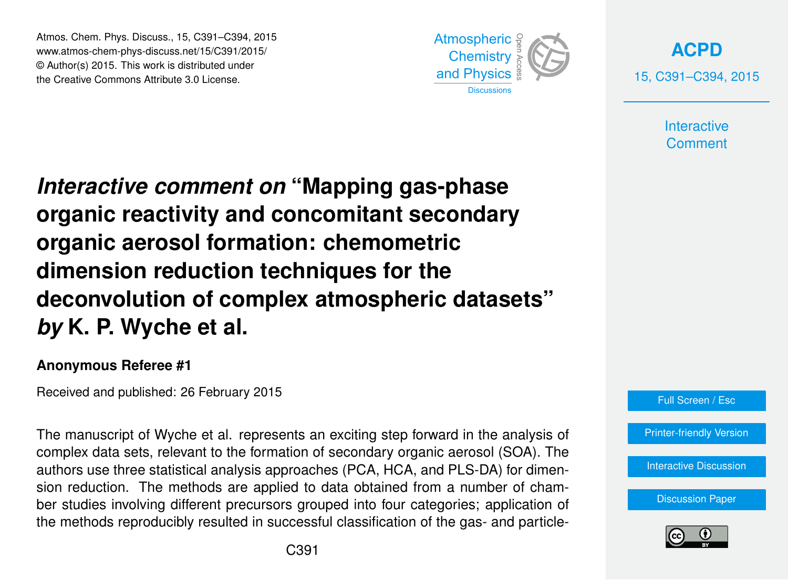Atmos. Chem. Phys. Discuss., 15, C391–C394, 2015 www.atmos-chem-phys-discuss.net/15/C391/2015/ © Author(s) 2015. This work is distributed under the Creative Commons Attribute 3.0 License.



**[ACPD](http://www.atmos-chem-phys-discuss.net)** 15, C391–C394, 2015

> **Interactive Comment**

*Interactive comment on* **"Mapping gas-phase organic reactivity and concomitant secondary organic aerosol formation: chemometric dimension reduction techniques for the deconvolution of complex atmospheric datasets"** *by* **K. P. Wyche et al.**

## **Anonymous Referee #1**

Received and published: 26 February 2015

The manuscript of Wyche et al. represents an exciting step forward in the analysis of complex data sets, relevant to the formation of secondary organic aerosol (SOA). The authors use three statistical analysis approaches (PCA, HCA, and PLS-DA) for dimension reduction. The methods are applied to data obtained from a number of chamber studies involving different precursors grouped into four categories; application of the methods reproducibly resulted in successful classification of the gas- and particle-



[Printer-friendly Version](http://www.atmos-chem-phys-discuss.net/15/C391/2015/acpd-15-C391-2015-print.pdf)

[Interactive Discussion](http://www.atmos-chem-phys-discuss.net/15/1651/2015/acpd-15-1651-2015-discussion.html)

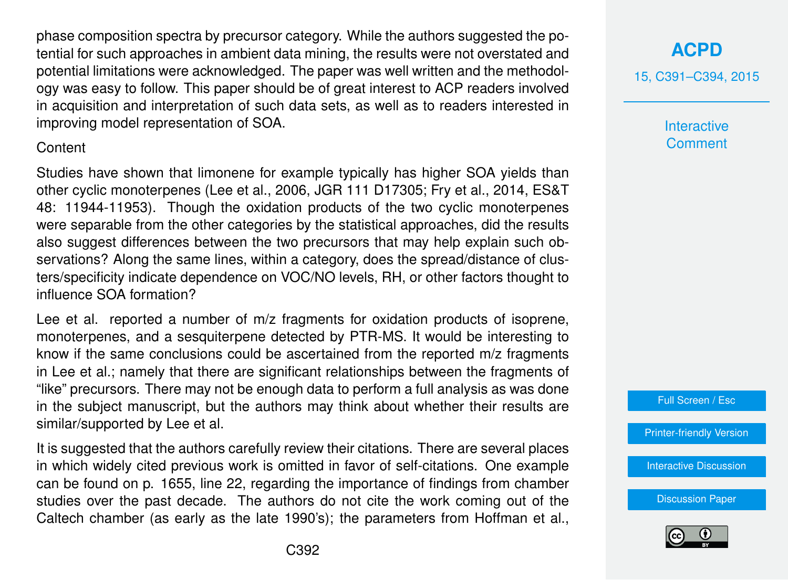phase composition spectra by precursor category. While the authors suggested the potential for such approaches in ambient data mining, the results were not overstated and potential limitations were acknowledged. The paper was well written and the methodology was easy to follow. This paper should be of great interest to ACP readers involved in acquisition and interpretation of such data sets, as well as to readers interested in improving model representation of SOA.

## Content

Studies have shown that limonene for example typically has higher SOA yields than other cyclic monoterpenes (Lee et al., 2006, JGR 111 D17305; Fry et al., 2014, ES&T 48: 11944-11953). Though the oxidation products of the two cyclic monoterpenes were separable from the other categories by the statistical approaches, did the results also suggest differences between the two precursors that may help explain such observations? Along the same lines, within a category, does the spread/distance of clusters/specificity indicate dependence on VOC/NO levels, RH, or other factors thought to influence SOA formation?

Lee et al. reported a number of m/z fragments for oxidation products of isoprene, monoterpenes, and a sesquiterpene detected by PTR-MS. It would be interesting to know if the same conclusions could be ascertained from the reported m/z fragments in Lee et al.; namely that there are significant relationships between the fragments of "like" precursors. There may not be enough data to perform a full analysis as was done in the subject manuscript, but the authors may think about whether their results are similar/supported by Lee et al.

It is suggested that the authors carefully review their citations. There are several places in which widely cited previous work is omitted in favor of self-citations. One example can be found on p. 1655, line 22, regarding the importance of findings from chamber studies over the past decade. The authors do not cite the work coming out of the Caltech chamber (as early as the late 1990's); the parameters from Hoffman et al.,

## **[ACPD](http://www.atmos-chem-phys-discuss.net)**

15, C391–C394, 2015

**Interactive Comment** 



[Printer-friendly Version](http://www.atmos-chem-phys-discuss.net/15/C391/2015/acpd-15-C391-2015-print.pdf)

[Interactive Discussion](http://www.atmos-chem-phys-discuss.net/15/1651/2015/acpd-15-1651-2015-discussion.html)

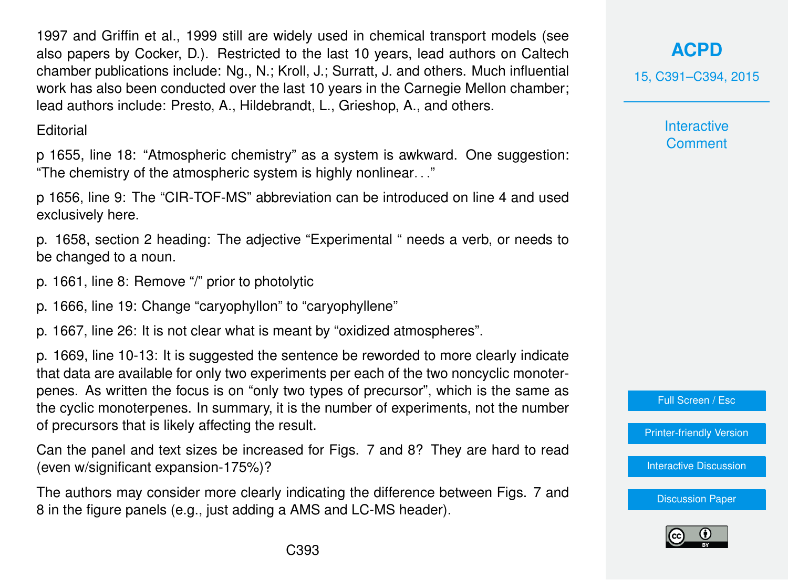1997 and Griffin et al., 1999 still are widely used in chemical transport models (see also papers by Cocker, D.). Restricted to the last 10 years, lead authors on Caltech chamber publications include: Ng., N.; Kroll, J.; Surratt, J. and others. Much influential work has also been conducted over the last 10 years in the Carnegie Mellon chamber; lead authors include: Presto, A., Hildebrandt, L., Grieshop, A., and others.

**Editorial** 

p 1655, line 18: "Atmospheric chemistry" as a system is awkward. One suggestion: "The chemistry of the atmospheric system is highly nonlinear. . ."

p 1656, line 9: The "CIR-TOF-MS" abbreviation can be introduced on line 4 and used exclusively here.

p. 1658, section 2 heading: The adjective "Experimental " needs a verb, or needs to be changed to a noun.

p. 1661, line 8: Remove "/" prior to photolytic

p. 1666, line 19: Change "caryophyllon" to "caryophyllene"

p. 1667, line 26: It is not clear what is meant by "oxidized atmospheres".

p. 1669, line 10-13: It is suggested the sentence be reworded to more clearly indicate that data are available for only two experiments per each of the two noncyclic monoterpenes. As written the focus is on "only two types of precursor", which is the same as the cyclic monoterpenes. In summary, it is the number of experiments, not the number of precursors that is likely affecting the result.

Can the panel and text sizes be increased for Figs. 7 and 8? They are hard to read (even w/significant expansion-175%)?

The authors may consider more clearly indicating the difference between Figs. 7 and 8 in the figure panels (e.g., just adding a AMS and LC-MS header).

15, C391–C394, 2015

**Interactive Comment** 



[Printer-friendly Version](http://www.atmos-chem-phys-discuss.net/15/C391/2015/acpd-15-C391-2015-print.pdf)

[Interactive Discussion](http://www.atmos-chem-phys-discuss.net/15/1651/2015/acpd-15-1651-2015-discussion.html)